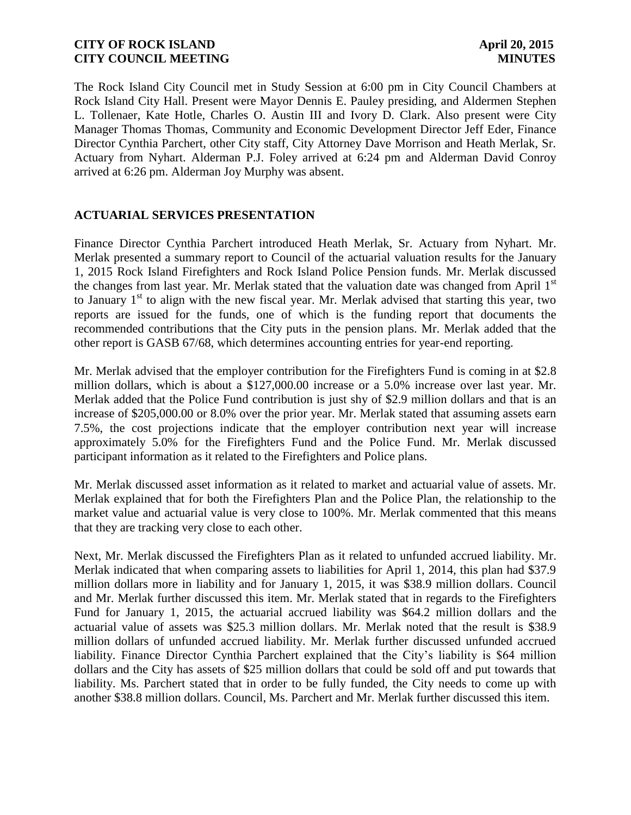The Rock Island City Council met in Study Session at 6:00 pm in City Council Chambers at Rock Island City Hall. Present were Mayor Dennis E. Pauley presiding, and Aldermen Stephen L. Tollenaer, Kate Hotle, Charles O. Austin III and Ivory D. Clark. Also present were City Manager Thomas Thomas, Community and Economic Development Director Jeff Eder, Finance Director Cynthia Parchert, other City staff, City Attorney Dave Morrison and Heath Merlak, Sr. Actuary from Nyhart. Alderman P.J. Foley arrived at 6:24 pm and Alderman David Conroy arrived at 6:26 pm. Alderman Joy Murphy was absent.

## **ACTUARIAL SERVICES PRESENTATION**

Finance Director Cynthia Parchert introduced Heath Merlak, Sr. Actuary from Nyhart. Mr. Merlak presented a summary report to Council of the actuarial valuation results for the January 1, 2015 Rock Island Firefighters and Rock Island Police Pension funds. Mr. Merlak discussed the changes from last year. Mr. Merlak stated that the valuation date was changed from April 1<sup>st</sup> to January  $1<sup>st</sup>$  to align with the new fiscal year. Mr. Merlak advised that starting this year, two reports are issued for the funds, one of which is the funding report that documents the recommended contributions that the City puts in the pension plans. Mr. Merlak added that the other report is GASB 67/68, which determines accounting entries for year-end reporting.

Mr. Merlak advised that the employer contribution for the Firefighters Fund is coming in at \$2.8 million dollars, which is about a \$127,000.00 increase or a 5.0% increase over last year. Mr. Merlak added that the Police Fund contribution is just shy of \$2.9 million dollars and that is an increase of \$205,000.00 or 8.0% over the prior year. Mr. Merlak stated that assuming assets earn 7.5%, the cost projections indicate that the employer contribution next year will increase approximately 5.0% for the Firefighters Fund and the Police Fund. Mr. Merlak discussed participant information as it related to the Firefighters and Police plans.

Mr. Merlak discussed asset information as it related to market and actuarial value of assets. Mr. Merlak explained that for both the Firefighters Plan and the Police Plan, the relationship to the market value and actuarial value is very close to 100%. Mr. Merlak commented that this means that they are tracking very close to each other.

Next, Mr. Merlak discussed the Firefighters Plan as it related to unfunded accrued liability. Mr. Merlak indicated that when comparing assets to liabilities for April 1, 2014, this plan had \$37.9 million dollars more in liability and for January 1, 2015, it was \$38.9 million dollars. Council and Mr. Merlak further discussed this item. Mr. Merlak stated that in regards to the Firefighters Fund for January 1, 2015, the actuarial accrued liability was \$64.2 million dollars and the actuarial value of assets was \$25.3 million dollars. Mr. Merlak noted that the result is \$38.9 million dollars of unfunded accrued liability. Mr. Merlak further discussed unfunded accrued liability. Finance Director Cynthia Parchert explained that the City's liability is \$64 million dollars and the City has assets of \$25 million dollars that could be sold off and put towards that liability. Ms. Parchert stated that in order to be fully funded, the City needs to come up with another \$38.8 million dollars. Council, Ms. Parchert and Mr. Merlak further discussed this item.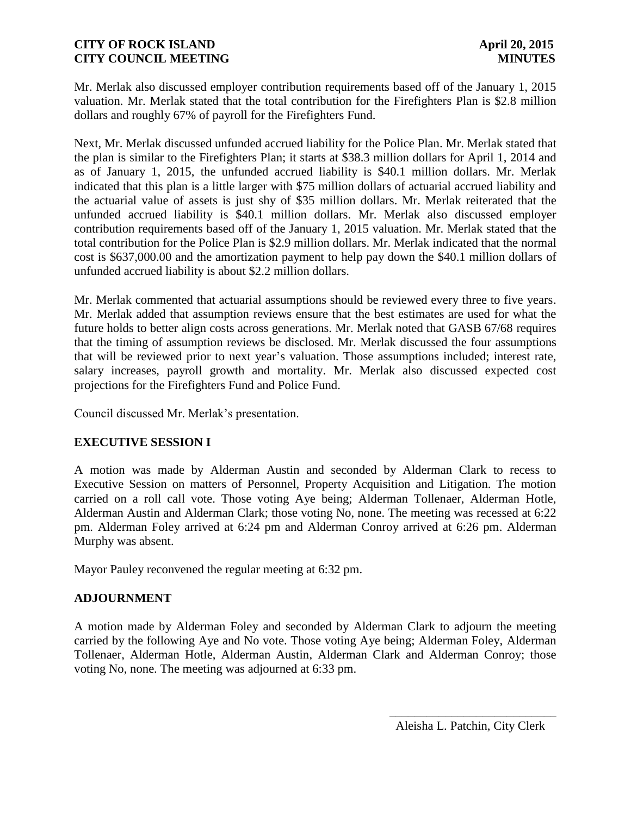Mr. Merlak also discussed employer contribution requirements based off of the January 1, 2015 valuation. Mr. Merlak stated that the total contribution for the Firefighters Plan is \$2.8 million dollars and roughly 67% of payroll for the Firefighters Fund.

Next, Mr. Merlak discussed unfunded accrued liability for the Police Plan. Mr. Merlak stated that the plan is similar to the Firefighters Plan; it starts at \$38.3 million dollars for April 1, 2014 and as of January 1, 2015, the unfunded accrued liability is \$40.1 million dollars. Mr. Merlak indicated that this plan is a little larger with \$75 million dollars of actuarial accrued liability and the actuarial value of assets is just shy of \$35 million dollars. Mr. Merlak reiterated that the unfunded accrued liability is \$40.1 million dollars. Mr. Merlak also discussed employer contribution requirements based off of the January 1, 2015 valuation. Mr. Merlak stated that the total contribution for the Police Plan is \$2.9 million dollars. Mr. Merlak indicated that the normal cost is \$637,000.00 and the amortization payment to help pay down the \$40.1 million dollars of unfunded accrued liability is about \$2.2 million dollars.

Mr. Merlak commented that actuarial assumptions should be reviewed every three to five years. Mr. Merlak added that assumption reviews ensure that the best estimates are used for what the future holds to better align costs across generations. Mr. Merlak noted that GASB 67/68 requires that the timing of assumption reviews be disclosed. Mr. Merlak discussed the four assumptions that will be reviewed prior to next year's valuation. Those assumptions included; interest rate, salary increases, payroll growth and mortality. Mr. Merlak also discussed expected cost projections for the Firefighters Fund and Police Fund.

Council discussed Mr. Merlak's presentation.

## **EXECUTIVE SESSION I**

A motion was made by Alderman Austin and seconded by Alderman Clark to recess to Executive Session on matters of Personnel, Property Acquisition and Litigation. The motion carried on a roll call vote. Those voting Aye being; Alderman Tollenaer, Alderman Hotle, Alderman Austin and Alderman Clark; those voting No, none. The meeting was recessed at 6:22 pm. Alderman Foley arrived at 6:24 pm and Alderman Conroy arrived at 6:26 pm. Alderman Murphy was absent.

Mayor Pauley reconvened the regular meeting at 6:32 pm.

## **ADJOURNMENT**

A motion made by Alderman Foley and seconded by Alderman Clark to adjourn the meeting carried by the following Aye and No vote. Those voting Aye being; Alderman Foley, Alderman Tollenaer, Alderman Hotle, Alderman Austin, Alderman Clark and Alderman Conroy; those voting No, none. The meeting was adjourned at 6:33 pm.

 $\frac{1}{2}$  ,  $\frac{1}{2}$  ,  $\frac{1}{2}$  ,  $\frac{1}{2}$  ,  $\frac{1}{2}$  ,  $\frac{1}{2}$  ,  $\frac{1}{2}$  ,  $\frac{1}{2}$  ,  $\frac{1}{2}$  ,  $\frac{1}{2}$  ,  $\frac{1}{2}$  ,  $\frac{1}{2}$  ,  $\frac{1}{2}$  ,  $\frac{1}{2}$  ,  $\frac{1}{2}$  ,  $\frac{1}{2}$  ,  $\frac{1}{2}$  ,  $\frac{1}{2}$  ,  $\frac{1$ 

Aleisha L. Patchin, City Clerk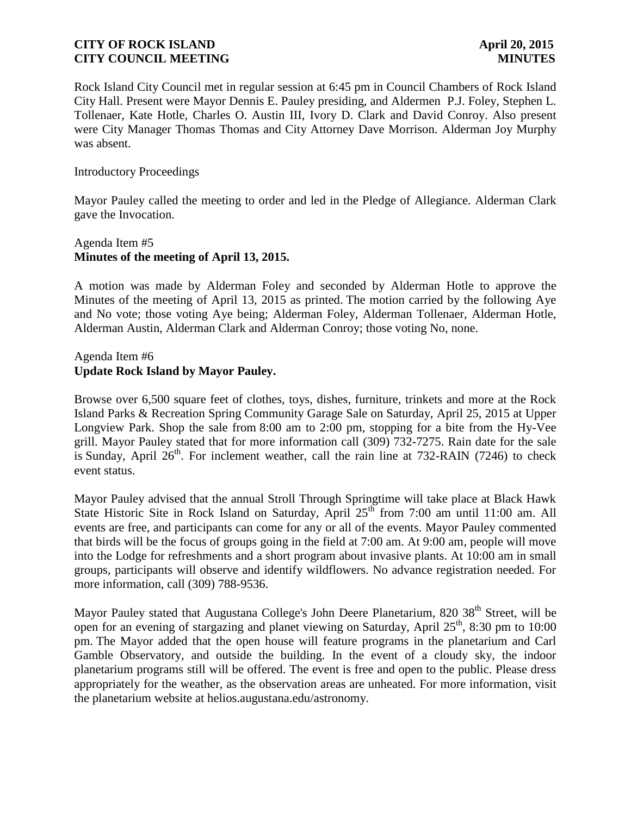Rock Island City Council met in regular session at 6:45 pm in Council Chambers of Rock Island City Hall. Present were Mayor Dennis E. Pauley presiding, and Aldermen P.J. Foley, Stephen L. Tollenaer, Kate Hotle, Charles O. Austin III, Ivory D. Clark and David Conroy. Also present were City Manager Thomas Thomas and City Attorney Dave Morrison. Alderman Joy Murphy was absent.

#### Introductory Proceedings

Mayor Pauley called the meeting to order and led in the Pledge of Allegiance. Alderman Clark gave the Invocation.

### Agenda Item #5 **Minutes of the meeting of April 13, 2015.**

A motion was made by Alderman Foley and seconded by Alderman Hotle to approve the Minutes of the meeting of April 13, 2015 as printed. The motion carried by the following Aye and No vote; those voting Aye being; Alderman Foley, Alderman Tollenaer, Alderman Hotle, Alderman Austin, Alderman Clark and Alderman Conroy; those voting No, none.

### Agenda Item #6 **Update Rock Island by Mayor Pauley.**

Browse over 6,500 square feet of clothes, toys, dishes, furniture, trinkets and more at the Rock Island Parks & Recreation Spring Community Garage Sale on Saturday, April 25, 2015 at Upper Longview Park. Shop the sale from 8:00 am to 2:00 pm, stopping for a bite from the Hy-Vee grill. Mayor Pauley stated that for more information call (309) 732-7275. Rain date for the sale is Sunday, April  $26<sup>th</sup>$ . For inclement weather, call the rain line at 732-RAIN (7246) to check event status.

Mayor Pauley advised that the annual Stroll Through Springtime will take place at Black Hawk State Historic Site in Rock Island on Saturday, April  $25<sup>th</sup>$  from 7:00 am until 11:00 am. All events are free, and participants can come for any or all of the events. Mayor Pauley commented that birds will be the focus of groups going in the field at 7:00 am. At 9:00 am, people will move into the Lodge for refreshments and a short program about invasive plants. At 10:00 am in small groups, participants will observe and identify wildflowers. No advance registration needed. For more information, call (309) 788-9536.

Mayor Pauley stated that Augustana College's John Deere Planetarium, 820 38<sup>th</sup> Street, will be open for an evening of stargazing and planet viewing on Saturday, April 25<sup>th</sup>, 8:30 pm to 10:00 pm. The Mayor added that the open house will feature programs in the planetarium and Carl Gamble Observatory, and outside the building. In the event of a cloudy sky, the indoor planetarium programs still will be offered. The event is free and open to the public. Please dress appropriately for the weather, as the observation areas are unheated. For more information, visit the planetarium website at helios.augustana.edu/astronomy.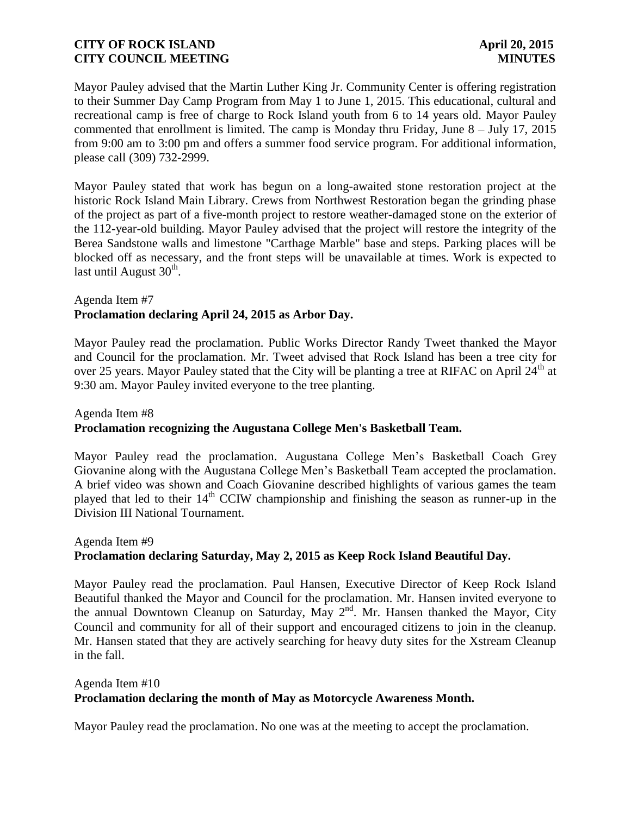Mayor Pauley advised that the Martin Luther King Jr. Community Center is offering registration to their Summer Day Camp Program from May 1 to June 1, 2015. This educational, cultural and recreational camp is free of charge to Rock Island youth from 6 to 14 years old. Mayor Pauley commented that enrollment is limited. The camp is Monday thru Friday, June  $8 -$  July 17, 2015 from 9:00 am to 3:00 pm and offers a summer food service program. For additional information, please call (309) 732-2999.

Mayor Pauley stated that work has begun on a long-awaited stone restoration project at the historic Rock Island Main Library. Crews from Northwest Restoration began the grinding phase of the project as part of a five-month project to restore weather-damaged stone on the exterior of the 112-year-old building. Mayor Pauley advised that the project will restore the integrity of the Berea Sandstone walls and limestone "Carthage Marble" base and steps. Parking places will be blocked off as necessary, and the front steps will be unavailable at times. Work is expected to last until August  $30<sup>th</sup>$ .

### Agenda Item #7 **Proclamation declaring April 24, 2015 as Arbor Day.**

Mayor Pauley read the proclamation. Public Works Director Randy Tweet thanked the Mayor and Council for the proclamation. Mr. Tweet advised that Rock Island has been a tree city for over 25 years. Mayor Pauley stated that the City will be planting a tree at RIFAC on April 24<sup>th</sup> at 9:30 am. Mayor Pauley invited everyone to the tree planting.

## Agenda Item #8 **Proclamation recognizing the Augustana College Men's Basketball Team.**

Mayor Pauley read the proclamation. Augustana College Men's Basketball Coach Grey Giovanine along with the Augustana College Men's Basketball Team accepted the proclamation. A brief video was shown and Coach Giovanine described highlights of various games the team played that led to their 14<sup>th</sup> CCIW championship and finishing the season as runner-up in the Division III National Tournament.

# Agenda Item #9 **Proclamation declaring Saturday, May 2, 2015 as Keep Rock Island Beautiful Day.**

Mayor Pauley read the proclamation. Paul Hansen, Executive Director of Keep Rock Island Beautiful thanked the Mayor and Council for the proclamation. Mr. Hansen invited everyone to the annual Downtown Cleanup on Saturday, May 2<sup>nd</sup>. Mr. Hansen thanked the Mayor, City Council and community for all of their support and encouraged citizens to join in the cleanup. Mr. Hansen stated that they are actively searching for heavy duty sites for the Xstream Cleanup in the fall.

## Agenda Item #10 **Proclamation declaring the month of May as Motorcycle Awareness Month.**

Mayor Pauley read the proclamation. No one was at the meeting to accept the proclamation.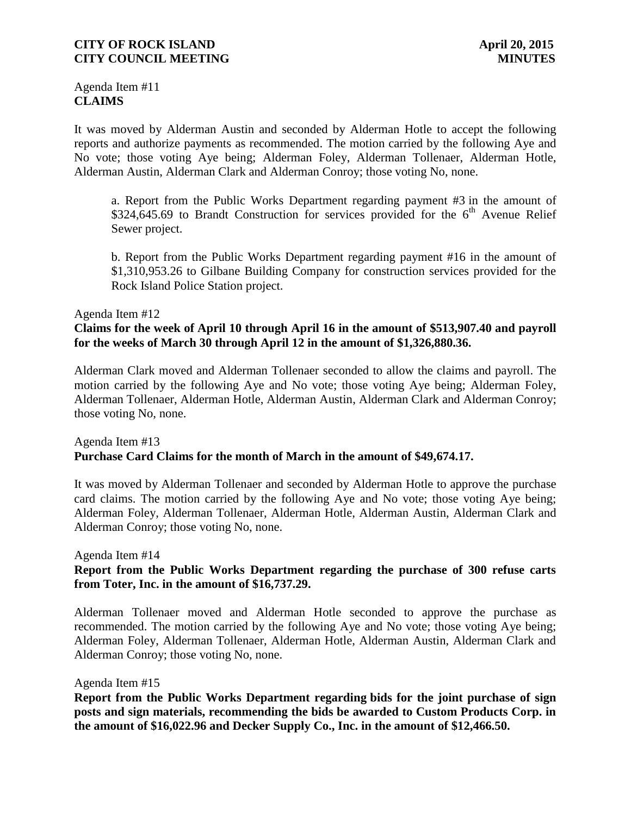Agenda Item #11 **CLAIMS**

It was moved by Alderman Austin and seconded by Alderman Hotle to accept the following reports and authorize payments as recommended. The motion carried by the following Aye and No vote; those voting Aye being; Alderman Foley, Alderman Tollenaer, Alderman Hotle, Alderman Austin, Alderman Clark and Alderman Conroy; those voting No, none.

a. Report from the Public Works Department regarding payment #3 in the amount of \$324,645.69 to Brandt Construction for services provided for the  $6<sup>th</sup>$  Avenue Relief Sewer project.

b. Report from the Public Works Department regarding payment #16 in the amount of \$1,310,953.26 to Gilbane Building Company for construction services provided for the Rock Island Police Station project.

#### Agenda Item #12

#### **Claims for the week of April 10 through April 16 in the amount of \$513,907.40 and payroll for the weeks of March 30 through April 12 in the amount of \$1,326,880.36.**

Alderman Clark moved and Alderman Tollenaer seconded to allow the claims and payroll. The motion carried by the following Aye and No vote; those voting Aye being; Alderman Foley, Alderman Tollenaer, Alderman Hotle, Alderman Austin, Alderman Clark and Alderman Conroy; those voting No, none.

#### Agenda Item #13 **Purchase Card Claims for the month of March in the amount of \$49,674.17.**

It was moved by Alderman Tollenaer and seconded by Alderman Hotle to approve the purchase card claims. The motion carried by the following Aye and No vote; those voting Aye being; Alderman Foley, Alderman Tollenaer, Alderman Hotle, Alderman Austin, Alderman Clark and Alderman Conroy; those voting No, none.

Agenda Item #14

### **Report from the Public Works Department regarding the purchase of 300 refuse carts from Toter, Inc. in the amount of \$16,737.29.**

Alderman Tollenaer moved and Alderman Hotle seconded to approve the purchase as recommended. The motion carried by the following Aye and No vote; those voting Aye being; Alderman Foley, Alderman Tollenaer, Alderman Hotle, Alderman Austin, Alderman Clark and Alderman Conroy; those voting No, none.

#### Agenda Item #15

**Report from the Public Works Department regarding bids for the joint purchase of sign posts and sign materials, recommending the bids be awarded to Custom Products Corp. in the amount of \$16,022.96 and Decker Supply Co., Inc. in the amount of \$12,466.50.**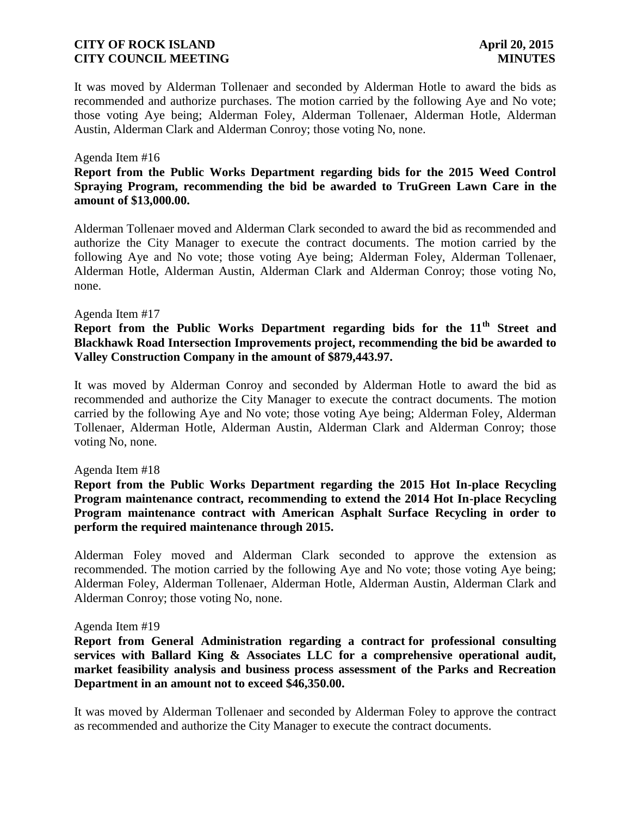It was moved by Alderman Tollenaer and seconded by Alderman Hotle to award the bids as recommended and authorize purchases. The motion carried by the following Aye and No vote; those voting Aye being; Alderman Foley, Alderman Tollenaer, Alderman Hotle, Alderman Austin, Alderman Clark and Alderman Conroy; those voting No, none.

#### Agenda Item #16

#### **Report from the Public Works Department regarding bids for the 2015 Weed Control Spraying Program, recommending the bid be awarded to TruGreen Lawn Care in the amount of \$13,000.00.**

Alderman Tollenaer moved and Alderman Clark seconded to award the bid as recommended and authorize the City Manager to execute the contract documents. The motion carried by the following Aye and No vote; those voting Aye being; Alderman Foley, Alderman Tollenaer, Alderman Hotle, Alderman Austin, Alderman Clark and Alderman Conroy; those voting No, none.

#### Agenda Item #17

## **Report from the Public Works Department regarding bids for the 11th Street and Blackhawk Road Intersection Improvements project, recommending the bid be awarded to Valley Construction Company in the amount of \$879,443.97.**

It was moved by Alderman Conroy and seconded by Alderman Hotle to award the bid as recommended and authorize the City Manager to execute the contract documents. The motion carried by the following Aye and No vote; those voting Aye being; Alderman Foley, Alderman Tollenaer, Alderman Hotle, Alderman Austin, Alderman Clark and Alderman Conroy; those voting No, none.

#### Agenda Item #18

### **Report from the Public Works Department regarding the 2015 Hot In-place Recycling Program maintenance contract, recommending to extend the 2014 Hot In-place Recycling Program maintenance contract with American Asphalt Surface Recycling in order to perform the required maintenance through 2015.**

Alderman Foley moved and Alderman Clark seconded to approve the extension as recommended. The motion carried by the following Aye and No vote; those voting Aye being; Alderman Foley, Alderman Tollenaer, Alderman Hotle, Alderman Austin, Alderman Clark and Alderman Conroy; those voting No, none.

#### Agenda Item #19

**Report from General Administration regarding a contract for professional consulting services with Ballard King & Associates LLC for a comprehensive operational audit, market feasibility analysis and business process assessment of the Parks and Recreation Department in an amount not to exceed \$46,350.00.**

It was moved by Alderman Tollenaer and seconded by Alderman Foley to approve the contract as recommended and authorize the City Manager to execute the contract documents.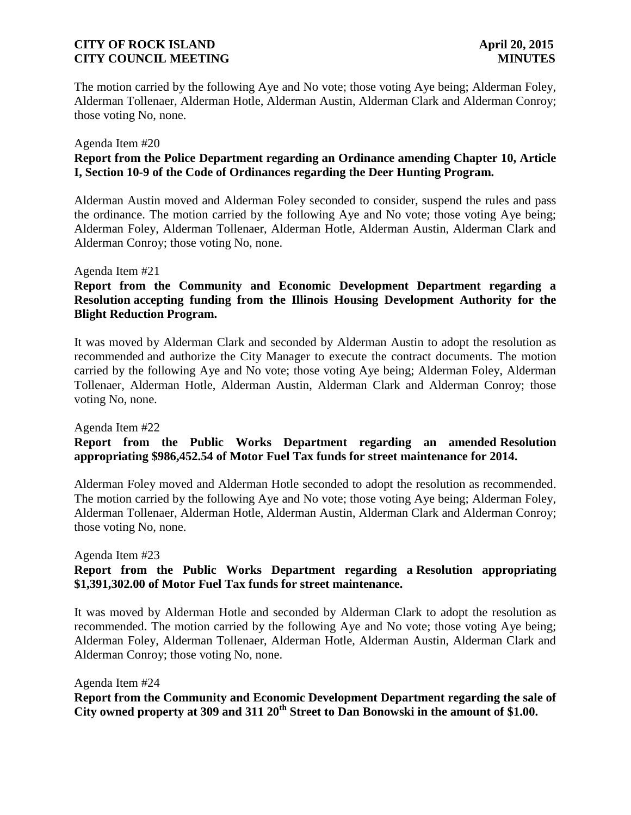The motion carried by the following Aye and No vote; those voting Aye being; Alderman Foley, Alderman Tollenaer, Alderman Hotle, Alderman Austin, Alderman Clark and Alderman Conroy; those voting No, none.

#### Agenda Item #20

### **Report from the Police Department regarding an Ordinance amending Chapter 10, Article I, Section 10-9 of the Code of Ordinances regarding the Deer Hunting Program.**

Alderman Austin moved and Alderman Foley seconded to consider, suspend the rules and pass the ordinance. The motion carried by the following Aye and No vote; those voting Aye being; Alderman Foley, Alderman Tollenaer, Alderman Hotle, Alderman Austin, Alderman Clark and Alderman Conroy; those voting No, none.

#### Agenda Item #21

### **Report from the Community and Economic Development Department regarding a Resolution accepting funding from the Illinois Housing Development Authority for the Blight Reduction Program.**

It was moved by Alderman Clark and seconded by Alderman Austin to adopt the resolution as recommended and authorize the City Manager to execute the contract documents. The motion carried by the following Aye and No vote; those voting Aye being; Alderman Foley, Alderman Tollenaer, Alderman Hotle, Alderman Austin, Alderman Clark and Alderman Conroy; those voting No, none.

#### Agenda Item #22

## **Report from the Public Works Department regarding an amended Resolution appropriating \$986,452.54 of Motor Fuel Tax funds for street maintenance for 2014.**

Alderman Foley moved and Alderman Hotle seconded to adopt the resolution as recommended. The motion carried by the following Aye and No vote; those voting Aye being; Alderman Foley, Alderman Tollenaer, Alderman Hotle, Alderman Austin, Alderman Clark and Alderman Conroy; those voting No, none.

Agenda Item #23

## **Report from the Public Works Department regarding a Resolution appropriating \$1,391,302.00 of Motor Fuel Tax funds for street maintenance.**

It was moved by Alderman Hotle and seconded by Alderman Clark to adopt the resolution as recommended. The motion carried by the following Aye and No vote; those voting Aye being; Alderman Foley, Alderman Tollenaer, Alderman Hotle, Alderman Austin, Alderman Clark and Alderman Conroy; those voting No, none.

Agenda Item #24 **Report from the Community and Economic Development Department regarding the sale of City owned property at 309 and 311 20th Street to Dan Bonowski in the amount of \$1.00.**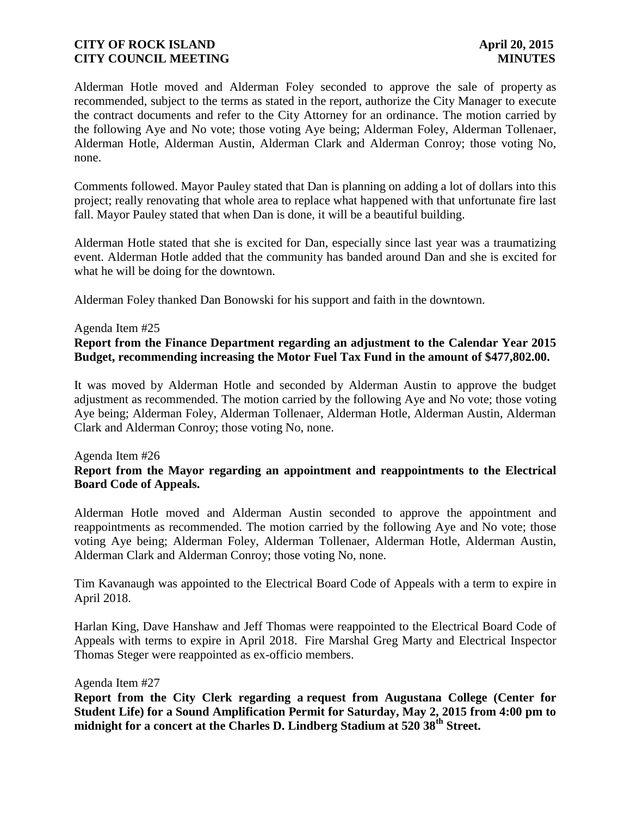Alderman Hotle moved and Alderman Foley seconded to approve the sale of property as recommended, subject to the terms as stated in the report, authorize the City Manager to execute the contract documents and refer to the City Attorney for an ordinance. The motion carried by the following Aye and No vote; those voting Aye being; Alderman Foley, Alderman Tollenaer, Alderman Hotle, Alderman Austin, Alderman Clark and Alderman Conroy; those voting No, none.

Comments followed. Mayor Pauley stated that Dan is planning on adding a lot of dollars into this project; really renovating that whole area to replace what happened with that unfortunate fire last fall. Mayor Pauley stated that when Dan is done, it will be a beautiful building.

Alderman Hotle stated that she is excited for Dan, especially since last year was a traumatizing event. Alderman Hotle added that the community has banded around Dan and she is excited for what he will be doing for the downtown.

Alderman Foley thanked Dan Bonowski for his support and faith in the downtown.

#### Agenda Item #25

## **Report from the Finance Department regarding an adjustment to the Calendar Year 2015 Budget, recommending increasing the Motor Fuel Tax Fund in the amount of \$477,802.00.**

It was moved by Alderman Hotle and seconded by Alderman Austin to approve the budget adjustment as recommended. The motion carried by the following Aye and No vote; those voting Aye being; Alderman Foley, Alderman Tollenaer, Alderman Hotle, Alderman Austin, Alderman Clark and Alderman Conroy; those voting No, none.

#### Agenda Item #26

### **Report from the Mayor regarding an appointment and reappointments to the Electrical Board Code of Appeals.**

Alderman Hotle moved and Alderman Austin seconded to approve the appointment and reappointments as recommended. The motion carried by the following Aye and No vote; those voting Aye being; Alderman Foley, Alderman Tollenaer, Alderman Hotle, Alderman Austin, Alderman Clark and Alderman Conroy; those voting No, none.

Tim Kavanaugh was appointed to the Electrical Board Code of Appeals with a term to expire in April 2018.

Harlan King, Dave Hanshaw and Jeff Thomas were reappointed to the Electrical Board Code of Appeals with terms to expire in April 2018. Fire Marshal Greg Marty and Electrical Inspector Thomas Steger were reappointed as ex-officio members.

#### Agenda Item #27

**Report from the City Clerk regarding a request from Augustana College (Center for Student Life) for a Sound Amplification Permit for Saturday, May 2, 2015 from 4:00 pm to midnight for a concert at the Charles D. Lindberg Stadium at 520 38th Street.**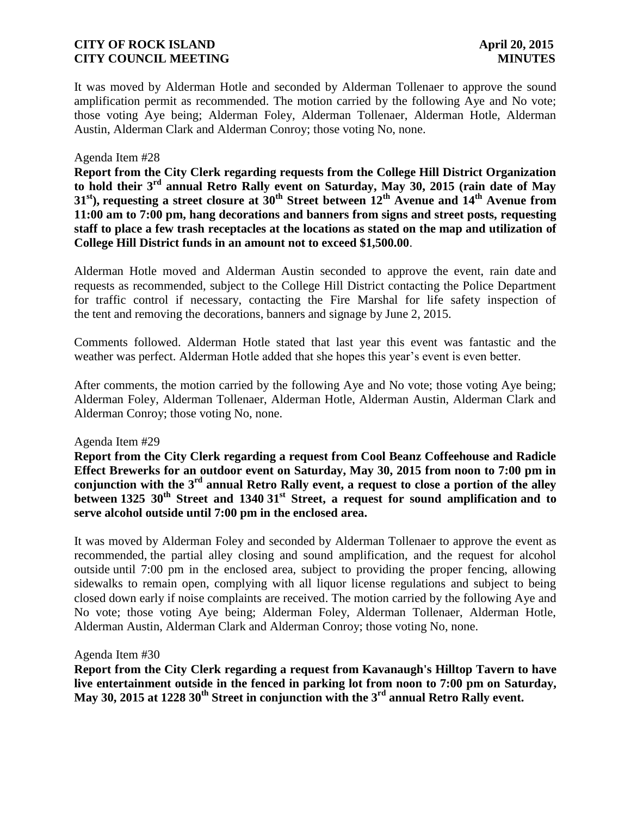It was moved by Alderman Hotle and seconded by Alderman Tollenaer to approve the sound amplification permit as recommended. The motion carried by the following Aye and No vote; those voting Aye being; Alderman Foley, Alderman Tollenaer, Alderman Hotle, Alderman Austin, Alderman Clark and Alderman Conroy; those voting No, none.

#### Agenda Item #28

**Report from the City Clerk regarding requests from the College Hill District Organization to hold their 3rd annual Retro Rally event on Saturday, May 30, 2015 (rain date of May 31st), requesting a street closure at 30th Street between 12th Avenue and 14th Avenue from 11:00 am to 7:00 pm, hang decorations and banners from signs and street posts, requesting staff to place a few trash receptacles at the locations as stated on the map and utilization of College Hill District funds in an amount not to exceed \$1,500.00**.

Alderman Hotle moved and Alderman Austin seconded to approve the event, rain date and requests as recommended, subject to the College Hill District contacting the Police Department for traffic control if necessary, contacting the Fire Marshal for life safety inspection of the tent and removing the decorations, banners and signage by June 2, 2015.

Comments followed. Alderman Hotle stated that last year this event was fantastic and the weather was perfect. Alderman Hotle added that she hopes this year's event is even better.

After comments, the motion carried by the following Aye and No vote; those voting Aye being; Alderman Foley, Alderman Tollenaer, Alderman Hotle, Alderman Austin, Alderman Clark and Alderman Conroy; those voting No, none.

#### Agenda Item #29

**Report from the City Clerk regarding a request from Cool Beanz Coffeehouse and Radicle Effect Brewerks for an outdoor event on Saturday, May 30, 2015 from noon to 7:00 pm in conjunction with the 3rd annual Retro Rally event, a request to close a portion of the alley between 1325 30th Street and 1340 31st Street, a request for sound amplification and to serve alcohol outside until 7:00 pm in the enclosed area.**

It was moved by Alderman Foley and seconded by Alderman Tollenaer to approve the event as recommended, the partial alley closing and sound amplification, and the request for alcohol outside until 7:00 pm in the enclosed area, subject to providing the proper fencing, allowing sidewalks to remain open, complying with all liquor license regulations and subject to being closed down early if noise complaints are received. The motion carried by the following Aye and No vote; those voting Aye being; Alderman Foley, Alderman Tollenaer, Alderman Hotle, Alderman Austin, Alderman Clark and Alderman Conroy; those voting No, none.

#### Agenda Item #30

**Report from the City Clerk regarding a request from Kavanaugh's Hilltop Tavern to have live entertainment outside in the fenced in parking lot from noon to 7:00 pm on Saturday, May 30, 2015 at 1228 30th Street in conjunction with the 3rd annual Retro Rally event.**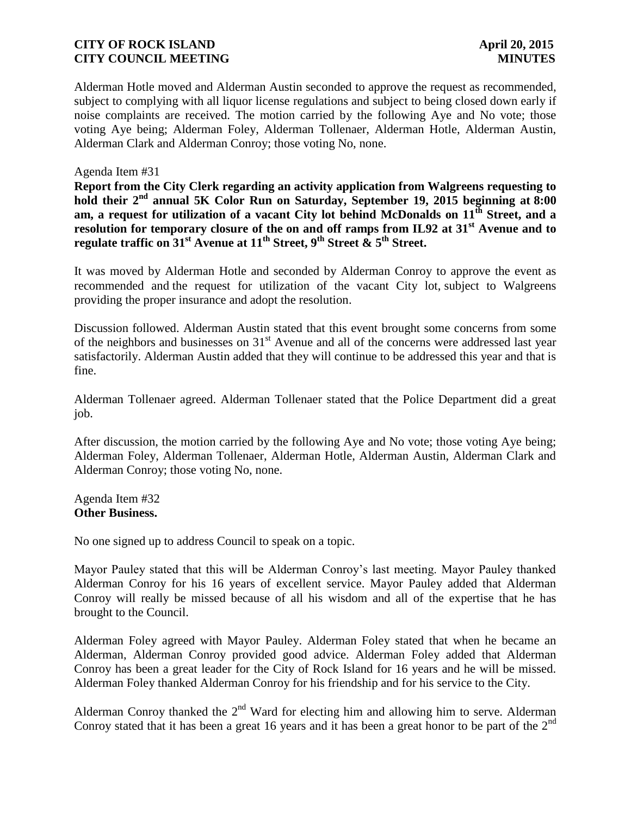Alderman Hotle moved and Alderman Austin seconded to approve the request as recommended, subject to complying with all liquor license regulations and subject to being closed down early if noise complaints are received. The motion carried by the following Aye and No vote; those voting Aye being; Alderman Foley, Alderman Tollenaer, Alderman Hotle, Alderman Austin, Alderman Clark and Alderman Conroy; those voting No, none.

Agenda Item #31

**Report from the City Clerk regarding an activity application from Walgreens requesting to hold their 2nd annual 5K Color Run on Saturday, September 19, 2015 beginning at 8:00 am, a request for utilization of a vacant City lot behind McDonalds on 11th Street, and a resolution for temporary closure of the on and off ramps from IL92 at 31st Avenue and to regulate traffic on 31st Avenue at 11th Street, 9th Street & 5th Street.** 

It was moved by Alderman Hotle and seconded by Alderman Conroy to approve the event as recommended and the request for utilization of the vacant City lot, subject to Walgreens providing the proper insurance and adopt the resolution.

Discussion followed. Alderman Austin stated that this event brought some concerns from some of the neighbors and businesses on  $31<sup>st</sup>$  Avenue and all of the concerns were addressed last year satisfactorily. Alderman Austin added that they will continue to be addressed this year and that is fine.

Alderman Tollenaer agreed. Alderman Tollenaer stated that the Police Department did a great job.

After discussion, the motion carried by the following Aye and No vote; those voting Aye being; Alderman Foley, Alderman Tollenaer, Alderman Hotle, Alderman Austin, Alderman Clark and Alderman Conroy; those voting No, none.

Agenda Item #32 **Other Business.**

No one signed up to address Council to speak on a topic.

Mayor Pauley stated that this will be Alderman Conroy's last meeting. Mayor Pauley thanked Alderman Conroy for his 16 years of excellent service. Mayor Pauley added that Alderman Conroy will really be missed because of all his wisdom and all of the expertise that he has brought to the Council.

Alderman Foley agreed with Mayor Pauley. Alderman Foley stated that when he became an Alderman, Alderman Conroy provided good advice. Alderman Foley added that Alderman Conroy has been a great leader for the City of Rock Island for 16 years and he will be missed. Alderman Foley thanked Alderman Conroy for his friendship and for his service to the City.

Alderman Conroy thanked the  $2<sup>nd</sup>$  Ward for electing him and allowing him to serve. Alderman Conroy stated that it has been a great 16 years and it has been a great honor to be part of the  $2<sup>nd</sup>$